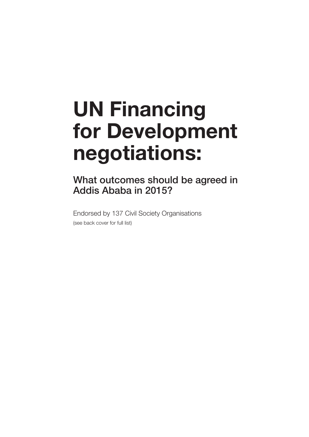## UN Financing for Development negotiations:

What outcomes should be agreed in Addis Ababa in 2015?

Endorsed by 137 Civil Society Organisations (see back cover for full list)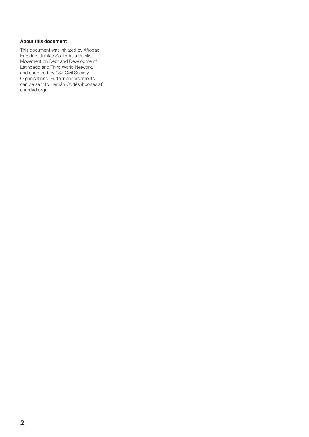#### About this document

This document was initiated by Afrodad, Eurodad, Jubilee South Asia Pacific Movement on Debt and Development<sup>1</sup> Latindadd and Third World Network, and endorsed by 137 Civil Society Organisations. Further endorsements can be sent to Hernán Cortés (hcortes[at] eurodad.org).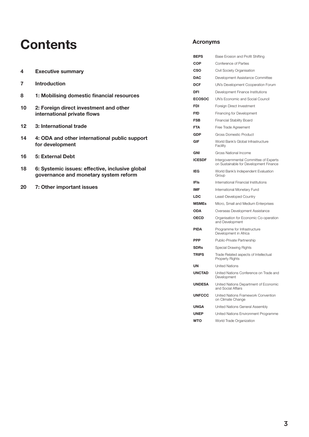### **Contents**

| 4  | <b>Executive summary</b>                                                                 |
|----|------------------------------------------------------------------------------------------|
| 7  | Introduction                                                                             |
| 8  | 1: Mobilising domestic financial resources                                               |
| 10 | 2: Foreign direct investment and other<br>international private flows                    |
| 12 | 3: International trade                                                                   |
| 14 | 4: ODA and other international public support<br>for development                         |
| 16 | 5: External Debt                                                                         |
| 18 | 6: Systemic issues: effective, inclusive global<br>governance and monetary system reform |
| 20 | 7: Other important issues                                                                |

### Acronyms

| <b>BEPS</b>   | Base Erosion and Profit Shifting                                                 |
|---------------|----------------------------------------------------------------------------------|
| <b>COP</b>    | Conference of Parties                                                            |
| <b>CSO</b>    | Civil Society Organisation                                                       |
| <b>DAC</b>    | Development Assistance Committee                                                 |
| <b>DCF</b>    | UN's Development Cooperation Forum                                               |
| DFI           | Development Finance Institutions                                                 |
| <b>ECOSOC</b> | UN's Economic and Social Council                                                 |
| <b>FDI</b>    | Foreign Direct Investment                                                        |
| <b>FfD</b>    | Financing for Development                                                        |
| <b>FSB</b>    | <b>Financial Stability Board</b>                                                 |
| <b>FTA</b>    | Free Trade Agreement                                                             |
| <b>GDP</b>    | <b>Gross Domestic Product</b>                                                    |
| GIF           | World Bank's Global Infrastructure<br>Facility                                   |
| <b>GNI</b>    | Gross National Income                                                            |
| <b>ICESDF</b> | Intergovernmental Committee of Experts<br>on Sustainable for Development Finance |
| <b>IEG</b>    | World Bank's Independent Evaluation<br>Group                                     |
| <b>IFIs</b>   | International Financial Institutions                                             |
| IMF           | International Monetary Fund                                                      |
| LDC           | Least-Developed Country                                                          |
| <b>MSMEs</b>  | Micro, Small and Medium Enterprises                                              |
| <b>ODA</b>    | Overseas Development Assistance                                                  |
| <b>OECD</b>   | Organisation for Economic Co-operation<br>and Development                        |
| <b>PIDA</b>   | Programme for Infrastructure<br>Development in Africa                            |
| <b>PPP</b>    | Public-Private Partnership                                                       |
| <b>SDRs</b>   | Special Drawing Rights                                                           |
| <b>TRIPS</b>  | Trade Related aspects of Intellectual<br><b>Property Rights</b>                  |
| UN            | <b>United Nations</b>                                                            |
| <b>UNCTAD</b> | United Nations Conference on Trade and<br>Development                            |
| <b>UNDESA</b> | United Nations Department of Economic<br>and Social Affairs                      |
| <b>UNFCCC</b> | United Nations Framework Convention<br>on Climate Change                         |
| <b>UNGA</b>   | United Nations General Assembly                                                  |
| <b>UNEP</b>   | United Nations Environment Programme                                             |
| <b>WTO</b>    | World Trade Organization                                                         |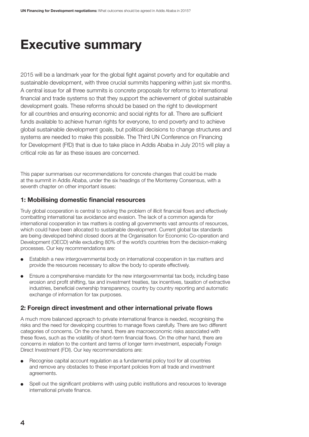### Executive summary

2015 will be a landmark year for the global fight against poverty and for equitable and sustainable development, with three crucial summits happening within just six months. A central issue for all three summits is concrete proposals for reforms to international financial and trade systems so that they support the achievement of global sustainable development goals. These reforms should be based on the right to development for all countries and ensuring economic and social rights for all. There are sufficient funds available to achieve human rights for everyone, to end poverty and to achieve global sustainable development goals, but political decisions to change structures and systems are needed to make this possible. The Third UN Conference on Financing for Development (FfD) that is due to take place in Addis Ababa in July 2015 will play a critical role as far as these issues are concerned.

This paper summarises our recommendations for concrete changes that could be made at the summit in Addis Ababa, under the six headings of the Monterrey Consensus, with a seventh chapter on other important issues:

### 1: Mobilising domestic financial resources

Truly global cooperation is central to solving the problem of illicit financial flows and effectively combatting international tax avoidance and evasion. The lack of a common agenda for international cooperation in tax matters is costing all governments vast amounts of resources, which could have been allocated to sustainable development. Current global tax standards are being developed behind closed doors at the Organisation for Economic Co-operation and Development (OECD) while excluding 80% of the world's countries from the decision-making processes. Our key recommendations are:

- Establish a new intergovernmental body on international cooperation in tax matters and provide the resources necessary to allow the body to operate effectively.
- Ensure a comprehensive mandate for the new intergovernmental tax body, including base erosion and profit shifting, tax and investment treaties, tax incentives, taxation of extractive industries, beneficial ownership transparency, country by country reporting and automatic exchange of information for tax purposes.

### 2: Foreign direct investment and other international private flows

A much more balanced approach to private international finance is needed, recognising the risks and the need for developing countries to manage flows carefully. There are two different categories of concerns. On the one hand, there are macroeconomic risks associated with these flows, such as the volatility of short-term financial flows. On the other hand, there are concerns in relation to the content and terms of longer term investment, especially Foreign Direct Investment (FDI). Our key recommendations are:

- Recognise capital account regulation as a fundamental policy tool for all countries and remove any obstacles to these important policies from all trade and investment agreements.
- Spell out the significant problems with using public institutions and resources to leverage international private finance.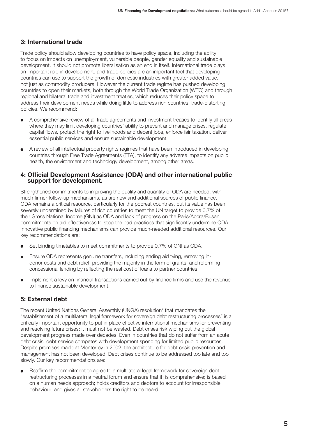### 3: International trade

Trade policy should allow developing countries to have policy space, including the ability to focus on impacts on unemployment, vulnerable people, gender equality and sustainable development. It should not promote liberalisation as an end in itself. International trade plays an important role in development, and trade policies are an important tool that developing countries can use to support the growth of domestic industries with greater added value, not just as commodity producers. However the current trade regime has pushed developing countries to open their markets, both through the World Trade Organization (WTO) and through regional and bilateral trade and investment treaties, which reduces their policy space to address their development needs while doing little to address rich countries' trade-distorting policies. We recommend:

- A comprehensive review of all trade agreements and investment treaties to identify all areas where they may limit developing countries' ability to prevent and manage crises, regulate capital flows, protect the right to livelihoods and decent jobs, enforce fair taxation, deliver essential public services and ensure sustainable development.
- A review of all intellectual property rights regimes that have been introduced in developing countries through Free Trade Agreements (FTA), to identify any adverse impacts on public health, the environment and technology development, among other areas.

#### 4: Official Development Assistance (ODA) and other international public support for development.

Strengthened commitments to improving the quality and quantity of ODA are needed, with much firmer follow-up mechanisms, as are new and additional sources of public finance. ODA remains a critical resource, particularly for the poorest countries, but its value has been severely undermined by failures of rich countries to meet the UN target to provide 0.7% of their Gross National Income (GNI) as ODA and lack of progress on the Paris/Accra/Busan commitments on aid effectiveness to stop the bad practices that significantly undermine ODA. Innovative public financing mechanisms can provide much-needed additional resources. Our key recommendations are:

- Set binding timetables to meet commitments to provide 0.7% of GNI as ODA.
- Ensure ODA represents genuine transfers, including ending aid tying, removing indonor costs and debt relief, providing the majority in the form of grants, and reforming concessional lending by reflecting the real cost of loans to partner countries.
- Implement a levy on financial transactions carried out by finance firms and use the revenue to finance sustainable development.

### 5: External debt

The recent United Nations General Assembly (UNGA) resolution<sup>2</sup> that mandates the "establishment of a multilateral legal framework for sovereign debt restructuring processes" is a critically important opportunity to put in place effective international mechanisms for preventing and resolving future crises: it must not be wasted. Debt crises risk wiping out the global development progress made over decades. Even in countries that do not suffer from an acute debt crisis, debt service competes with development spending for limited public resources. Despite promises made at Monterrey in 2002, the architecture for debt crisis prevention and management has not been developed. Debt crises continue to be addressed too late and too slowly. Our key recommendations are:

Reaffirm the commitment to agree to a multilateral legal framework for sovereign debt restructuring processes in a neutral forum and ensure that it: is comprehensive; is based on a human needs approach; holds creditors and debtors to account for irresponsible behaviour; and gives all stakeholders the right to be heard.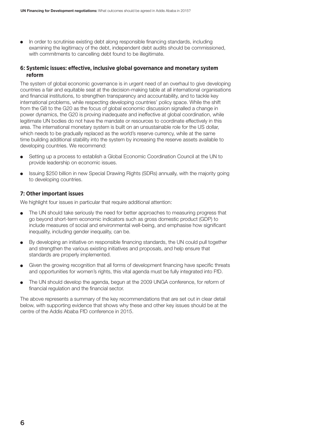In order to scrutinise existing debt along responsible financing standards, including examining the legitimacy of the debt, independent debt audits should be commissioned, with commitments to cancelling debt found to be illegitimate.

#### **6: Systemic issues: effective, inclusive global governance and monetary system reform**

The system of global economic governance is in urgent need of an overhaul to give developing countries a fair and equitable seat at the decision-making table at all international organisations and financial institutions, to strengthen transparency and accountability, and to tackle key international problems, while respecting developing countries' policy space. While the shift from the G8 to the G20 as the focus of global economic discussion signalled a change in power dynamics, the G20 is proving inadequate and ineffective at global coordination, while legitimate UN bodies do not have the mandate or resources to coordinate effectively in this area. The international monetary system is built on an unsustainable role for the US dollar, which needs to be gradually replaced as the world's reserve currency, while at the same time building additional stability into the system by increasing the reserve assets available to developing countries. We recommend:

- Setting up a process to establish a Global Economic Coordination Council at the UN to provide leadership on economic issues.
- Issuing \$250 billion in new Special Drawing Rights (SDRs) annually, with the majority going to developing countries.

#### **7: Other important issues**

We highlight four issues in particular that require additional attention:

- The UN should take seriously the need for better approaches to measuring progress that go beyond short-term economic indicators such as gross domestic product (GDP) to include measures of social and environmental well-being, and emphasise how significant inequality, including gender inequality, can be.
- By developing an initiative on responsible financing standards, the UN could pull together and strengthen the various existing initiatives and proposals, and help ensure that standards are properly implemented.
- Given the growing recognition that all forms of development financing have specific threats and opportunities for women's rights, this vital agenda must be fully integrated into FfD.
- The UN should develop the agenda, begun at the 2009 UNGA conference, for reform of financial regulation and the financial sector.

The above represents a summary of the key recommendations that are set out in clear detail below, with supporting evidence that shows why these and other key issues should be at the centre of the Addis Ababa FfD conference in 2015.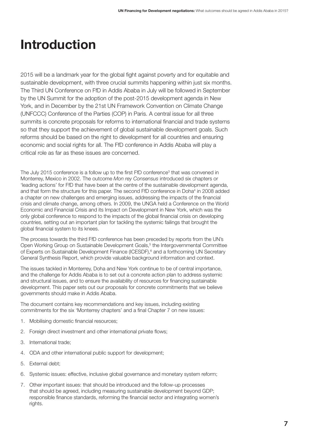### Introduction

2015 will be a landmark year for the global fight against poverty and for equitable and sustainable development, with three crucial summits happening within just six months. The Third UN Conference on FfD in Addis Ababa in July will be followed in September by the UN Summit for the adoption of the post-2015 development agenda in New York, and in December by the 21st UN Framework Convention on Climate Change (UNFCCC) Conference of the Parties (COP) in Paris. A central issue for all three summits is concrete proposals for reforms to international financial and trade systems so that they support the achievement of global sustainable development goals. Such reforms should be based on the right to development for all countries and ensuring economic and social rights for all. The FfD conference in Addis Ababa will play a critical role as far as these issues are concerned.

The July 2015 conference is a follow up to the first FfD conference<sup>3</sup> that was convened in Monterrey, Mexico in 2002. The outcome *Mon rey Consensus* introduced six chapters or 'leading actions' for FfD that have been at the centre of the sustainable development agenda, and that form the structure for this paper. The second FfD conference in Doha<sup>4</sup> in 2008 added a chapter on new challenges and emerging issues, addressing the impacts of the financial crisis and climate change, among others. In 2009, the UNGA held a Conference on the World Economic and Financial Crisis and its Impact on Development in New York, which was the only global conference to respond to the impacts of the global financial crisis on developing countries, setting out an important plan for tackling the systemic failings that brought the global financial system to its knees.

The process towards the third FfD conference has been preceded by reports from the UN's Open Working Group on Sustainable Development Goals,<sup>5</sup> the Intergovernmental Committee of Experts on Sustainable Development Finance (ICESDF),<sup>6</sup> and a forthcoming UN Secretary General Synthesis Report, which provide valuable background information and context.

The issues tackled in Monterrey, Doha and New York continue to be of central importance, and the challenge for Addis Ababa is to set out a concrete action plan to address systemic and structural issues, and to ensure the availability of resources for financing sustainable development. This paper sets out our proposals for concrete commitments that we believe governments should make in Addis Ababa.

The document contains key recommendations and key issues, including existing commitments for the six 'Monterrey chapters' and a final Chapter 7 on new issues:

- 1. Mobilising domestic financial resources;
- 2. Foreign direct investment and other international private flows;
- 3. International trade;
- 4. ODA and other international public support for development;
- 5. External debt;
- 6. Systemic issues: effective, inclusive global governance and monetary system reform;
- 7. Other important issues: that should be introduced and the follow-up processes that should be agreed, including measuring sustainable development beyond GDP; responsible finance standards, reforming the financial sector and integrating women's rights.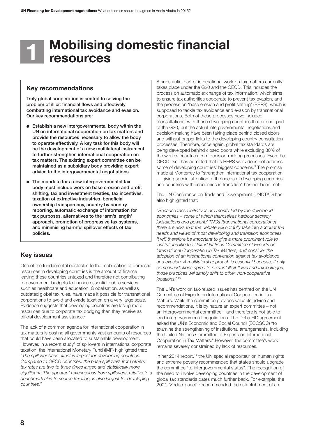### Mobilising domestic financial resources 1

### Key recommendations

Truly global cooperation is central to solving the problem of illicit financial flows and effectively combatting international tax avoidance and evasion. Our key recommendations are:

- Establish a new intergovernmental body within the UN on international cooperation on tax matters and provide the resources necessary to allow the body to operate effectively. A key task for this body will be the development of a new multilateral instrument to further strengthen international cooperation on tax matters. The existing expert committee can be maintained as a subsidiary body providing expert advice to the intergovernmental negotiations.
- UN Financing for D<br>
Financing for D<br>
Truly global<br>
problem of i<br>
combatting<br>
Our key recc<br>
C<br>
Establish<br>
UN on int<br>
provide the destroine to operat<br>
to operat<br>
to the destroine the destroine<br>
to the destroine the destroine ● The mandate for a new intergovernmental tax body must include work on base erosion and profit shifting, tax and investment treaties, tax incentives, taxation of extractive industries, beneficial ownership transparency, country by country reporting, automatic exchange of information for tax purposes, alternatives to the 'arm's length' approach, promotion of progressive tax systems, and minimising harmful spillover effects of tax policies.

### **Key issues**

One of the fundamental obstacles to the mobilisation of domestic resources in developing countries is the amount of finance leaving these countries untaxed and therefore not contributing to government budgets to finance essential public services such as healthcare and education. Globalisation, as well as outdated global tax rules, have made it possible for transnational corporations to avoid and evade taxation on a very large scale. Evidence suggests that developing countries are losing more resources due to corporate tax dodging than they receive as official development assistance.<sup>7</sup>

The lack of a common agenda for international cooperation in tax matters is costing all governments vast amounts of resources that could have been allocated to sustainable development. However, in a recent study<sup>8</sup> of spillovers in international corporate taxation, the International Monetary Fund (IMF) highlighted that: "*The spillover base effect is largest for developing countries. Compared to OECD countries, the base spillovers from others'*  tax rates are two to three times larger, and statistically more *significant. The apparent revenue loss from spillovers, relative to a benchmark akin to source taxation, is also largest for developing countries.*"

A substantial part of international work on tax matters currently takes place under the G20 and the OECD. This includes the process on automatic exchange of tax information, which aims to ensure tax authorities cooperate to prevent tax evasion, and the process on 'base erosion and profit shifting' (BEPS), which is supposed to tackle tax avoidance and evasion by transnational corporations. Both of these processes have included 'consultations' with those developing countries that are not part of the G20, but the actual intergovernmental negotiations and decision-making have been taking place behind closed doors and without proper links to the developing country consultation processes. Therefore, once again, global tax standards are being developed behind closed doors while excluding 80% of the world's countries from decision-making processes. Even the OECD itself has admitted that its BEPS work does not address some of developing countries' biggest concerns.<sup>9</sup> The promise made at Monterrey to "strengthen international tax cooperation … giving special attention to the needs of developing countries and countries with economies in transition" has not been met.

The UN Conference on Trade and Development (UNCTAD) has also highlighted that:

"*Because these initiatives are mostly led by the developed economies – some of which themselves harbour secrecy jurisdictions and powerful TNCs [transnational corporations] – there are risks that the debate will not fully take into account the needs and views of most developing and transition economies. It will therefore be important to give a more prominent role to institutions like the United Nations Committee of Experts on International Cooperation in Tax Matters, and consider the adoption of an international convention against tax avoidance and evasion. A multilateral approach is essential because, if only some jurisdictions agree to prevent illicit flows and tax leakages, those practices will simply shift to other, non-cooperative locations.*"10

The UN's work on tax-related issues has centred on the UN Committee of Experts on International Cooperation in Tax Matters. While the committee provides valuable advice and recommendations, it is by nature an expert committee – not an intergovernmental committee – and therefore is not able to lead intergovernmental negotiations. The Doha FfD agreement asked the UN's Economic and Social Council (ECOSOC) "to examine the strengthening of institutional arrangements, including the United Nations Committee of Experts on International Cooperation in Tax Matters." However, the committee's work remains severely constrained by lack of resources.

In her 2014 report,<sup>11</sup> the UN special rapporteur on human rights and extreme poverty recommended that states should upgrade the committee "to intergovernmental status". The recognition of the need to involve developing countries in the development of global tax standards dates much further back. For example, the 2001 "Zedillo-panel"12 recommended the establishment of an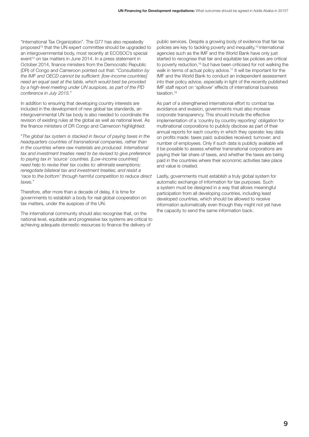"International Tax Organization". The G77 has also repeatedly proposed<sup>13</sup> that the UN expert committee should be upgraded to an intergovernmental body, most recently at ECOSOC's special event<sup>14</sup> on tax matters in June 2014. In a press statement in October 2014, finance ministers from the Democratic Republic (DR) of Congo and Cameroon pointed out that: "*Consultation by the IMF and OECD cannot be sufficient: [low-income countries] need an equal seat at the table, which would best be provided by a high-level meeting under UN auspices, as part of the FfD conference in July 2015.*"

In addition to ensuring that developing country interests are included in the development of new global tax standards, an intergovernmental UN tax body is also needed to coordinate the revision of existing rules at the global as well as national level. As the finance ministers of DR Congo and Cameroon highlighted:

"*The global tax system is stacked in favour of paying taxes in the headquarters countries of transnational companies, rather than in the countries where raw materials are produced. International tax and investment treaties need to be revised to give preference to paying tax in 'source' countries. [Low-income countries] need help to revise their tax codes to: eliminate exemptions; renegotiate bilateral tax and investment treaties; and resist a 'race to the bottom' through harmful competition to reduce direct taxes.*"

Therefore, after more than a decade of delay, it is time for governments to establish a body for real global cooperation on tax matters, under the auspices of the UN.

The international community should also recognise that, on the national level, equitable and progressive tax systems are critical to achieving adequate domestic resources to finance the delivery of

public services. Despite a growing body of evidence that fair tax policies are key to tackling poverty and inequality,<sup>15</sup> international agencies such as the IMF and the World Bank have only just started to recognise that fair and equitable tax policies are critical to poverty reduction,<sup>16</sup> but have been criticised for not walking the walk in terms of actual policy advice.<sup>17</sup> It will be important for the IMF and the World Bank to conduct an independent assessment into their policy advice, especially in light of the recently published IMF staff report on 'spillover' effects of international business taxation.<sup>18</sup>

As part of a strengthened international effort to combat tax avoidance and evasion, governments must also increase corporate transparency. This should include the effective implementation of a 'country by country reporting' obligation for multinational corporations to publicly disclose as part of their annual reports for each country in which they operate: key data on profits made; taxes paid; subsidies received; turnover; and number of employees. Only if such data is publicly available will it be possible to assess whether transnational corporations are paying their fair share of taxes, and whether the taxes are being paid in the countries where their economic activities take place and value is created.

Lastly, governments must establish a truly global system for automatic exchange of information for tax purposes. Such a system must be designed in a way that allows meaningful participation from all developing countries, including least developed countries, which should be allowed to receive information automatically even though they might not yet have the capacity to send the same information back.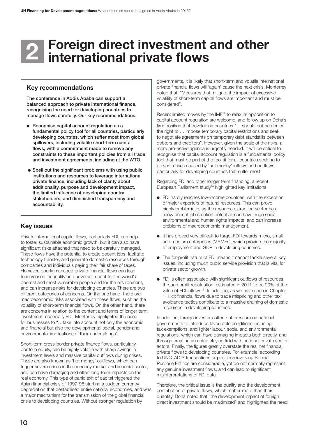### Foreign direct investment and other 2 Foreign direct investment<br>2 international private flows

### Key recommendations

The conference in Addis Ababa can support a balanced approach to private international finance, recognising the need for developing countries to manage flows carefully. Our key recommendations:

- Recognise capital account regulation as a fundamental policy tool for all countries, particularly developing countries, which suffer most from global spillovers, including volatile short-term capital flows, with a commitment made to remove any constraints to these important policies from all trade and investment agreements, including at the WTO.
- Spell out the significant problems with using public institutions and resources to leverage international private finance, including lack of clarity about additionality, purpose and development impact, the limited influence of developing country stakeholders, and diminished transparency and accountability.

### Key issues

Private international capital flows, particularly FDI, can help to foster sustainable economic growth, but it can also have significant risks attached that need to be carefully managed. These flows have the potential to create decent jobs, facilitate technology transfer, and generate domestic resources through companies and individuals paying their fair share of taxes. However, poorly managed private financial flows can lead to increased inequality and adverse impact for the world's poorest and most vulnerable people and for the environment, and can increase risks for developing countries. There are two different categories of concerns. On the one hand, there are macroeconomic risks associated with these flows, such as the volatility of short-term financial flows. On the other hand, there are concerns in relation to the content and terms of longer term investment, especially FDI. Monterrey highlighted the need for businesses to "…take into account not only the economic and financial but also the developmental social, gender and environmental implications of their undertakings".

Short-term cross-border private finance flows, particularly portfolio equity, can be highly volatile with sharp swings in investment levels and massive capital outflows during crises. These are also known as 'hot money' outflows, which can trigger severe crises in the currency market and financial sector, and can have damaging and often long-term impacts on the real economy. This type of panic exit of capital triggered the Asian financial crisis of 1997-98 starting a sudden currency depreciation that destabilised entire national economies, and was a major mechanism for the transmission of the global financial crisis to developing countries. Without stronger regulation by

governments, it is likely that short-term and volatile international private financial flows will 'again' cause the next crisis. Monterrey noted that: "Measures that mitigate the impact of excessive volatility of short-term capital flows are important and must be considered".

Recent limited moves by the IMF<sup>19</sup> to relax its opposition to capital account regulation are welcome, and follow up on Doha's firm position that developing countries "… should not be denied the right to … impose temporary capital restrictions and seek to negotiate agreements on temporary debt standstills between debtors and creditors". However, given the scale of the risks, a more pro-active agenda is urgently needed. It will be critical to recognise that capital account regulation is a fundamental policy tool that must be part of the toolkit for all countries seeking to prevent crises caused by 'hot money' inflows and outflows, particularly for developing countries that suffer most.

Regarding FDI and other longer term financing, a recent European Parliament study<sup>20</sup> highlighted key limitations:

- FDI hardly reaches low-income countries, with the exception of major exporters of natural resources. This can prove highly problematic, as the resource extraction sector has a low decent job creation potential, can have huge social, environmental and human rights impacts, and can increase problems of macroeconomic management.
- It has proved very difficult to target FDI towards micro, small and medium enterprises (MSMEs), which provide the majority of employment and GDP in developing countries.
- The for-profit nature of FDI means it cannot tackle several key issues, including much public service provision that is vital for private sector growth.
- FDI is often associated with significant outflows of resources, through profit repatriation, estimated in 2011 to be 90% of the value of FDI inflows.<sup>21</sup> In addition, as we have seen in Chapter 1, illicit financial flows due to trade mispricing and other tax avoidance tactics contribute to a massive draining of domestic resources in developing countries.

In addition, foreign investors often put pressure on national governments to introduce favourable conditions including tax exemptions, and lighter labour, social and environmental regulations, which can have damaging impacts both directly, and through creating an unfair playing field with national private sector actors. Finally, the figures greatly overstate the real net financial private flows to developing countries. For example, according to UNCTAD,<sup>22</sup> transactions or positions involving Special Purpose Entities are considerable, yet do not normally represent any genuine investment flows, and can lead to significant misinterpretations of FDI data.

Therefore, the critical issue is the quality and the development contribution of private flows, which matter more than their quantity. Doha noted that "the development impact of foreign direct investment should be maximized" and highlighted the need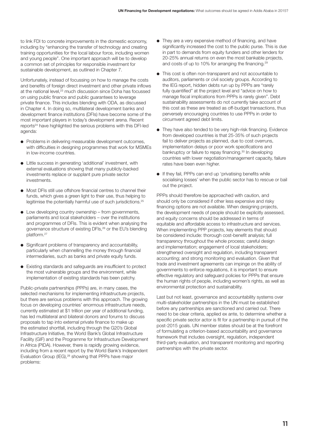to link FDI to concrete improvements in the domestic economy, including by "enhancing the transfer of technology and creating training opportunities for the local labour force, including women and young people". One important approach will be to develop a common set of principles for responsible investment for sustainable development, as outlined in Chapter 7.

Unfortunately, instead of focussing on how to manage the costs and benefits of foreign direct investment and other private inflows at the national level.<sup>23</sup> much discussion since Doha has focussed on using public finance and public guarantees to leverage private finance. This includes blending with ODA, as discussed in Chapter 4. In doing so, multilateral development banks and development finance institutions (DFIs) have become some of the most important players in today's development arena. Recent reports<sup>24</sup> have highlighted the serious problems with this DFI-led agenda:

- ● Problems in delivering measurable development outcomes, with difficulties in designing programmes that work for MSMEs in low-income countries.
- ● Little success in generating 'additional' investment, with external evaluations showing that many publicly-backed investments replace or supplant pure private sector investments.
- ● Most DFIs still use offshore financial centres to channel their funds, which gives a green light to their use, thus helping to legitimise the potentially harmful use of such jurisdictions.<sup>25</sup>
- Low developing country ownership from governments, parliaments and local stakeholders – over the institutions and programmes of DFIs. This is evident when analysing the governance structure of existing DFIs,<sup>26</sup> or the EU's blending platform.27
- ● Significant problems of transparency and accountability, particularly when channelling the money through financial intermediaries, such as banks and private equity funds.
- ● Existing standards and safeguards are insufficient to protect the most vulnerable groups and the environment, while implementation of existing standards has been patchy.

Public-private partnerships (PPPs) are, in many cases, the selected mechanisms for implementing infrastructure projects, but there are serious problems with this approach. The growing focus on developing countries' enormous infrastructure needs, currently estimated at \$1 trillion per year of additional funding, has led multilateral and bilateral donors and forums to discuss proposals to tap into external private finance to make up the estimated shortfall, including through the G20's Global Infrastructure Initiative, the World Bank's Global Infrastructure Facility (GIF) and the Programme for Infrastructure Development in Africa (PIDA). However, there is rapidly growing evidence, including from a recent report by the World Bank's Independent Evaluation Group (IEG),<sup>28</sup> showing that PPPs have major problems:

- They are a very expensive method of financing, and have significantly increased the cost to the public purse. This is due in part to demands from equity funders and other lenders for 20-25% annual returns on even the most bankable projects, and costs of up to 10% for arranging the financing.29
- This cost is often non-transparent and not accountable to auditors, parliaments or civil society groups. According to the IEG report, hidden debts run up by PPPs are "rarely fully quantified" at the project level and "advice on how to manage fiscal implications from PPPs is rarely given". Debt sustainability assessments do not currently take account of this cost as these are treated as off-budget transactions, thus perversely encouraging countries to use PPPs in order to circumvent agreed debt limits.
- They have also tended to be very high-risk financing. Evidence from developed countries is that 25-35% of such projects fail to deliver projects as planned, due to cost overruns, implementation delays or poor work specifications and bankruptcy or failure to repay financing.<sup>30</sup> In developing countries with lower negotiation/management capacity, failure rates have been even higher.
- If they fail, PPPs can end up 'privatising benefits while socialising losses' when the public sector has to rescue or bail out the project.

PPPs should therefore be approached with caution, and should only be considered if other less expensive and risky financing options are not available. When designing projects, the development needs of people should be explicitly assessed, and equity concerns should be addressed in terms of equitable and affordable access to infrastructure and services. When implementing PPP projects, key elements that should be considered include: thorough cost-benefit analysis; full transparency throughout the whole process; careful design and implementation; engagement of local stakeholders; strengthened oversight and regulation, including transparent accounting; and strong monitoring and evaluation. Given that trade and investment agreements can impinge on the ability of governments to enforce regulations, it is important to ensure effective regulatory and safeguard policies for PPPs that ensure the human rights of people, including women's rights, as well as environmental protection and sustainability.

Last but not least, governance and accountability systems over multi-stakeholder partnerships in the UN must be established before any partnerships are sanctioned and carried out. There need to be clear criteria, applied ex ante, to determine whether a specific private sector actor is fit for a partnership in pursuit of the post-2015 goals. UN member states should be at the forefront of formulating a criterion-based accountability and governance framework that includes oversight, regulation, independent third-party evaluation, and transparent monitoring and reporting partnerships with the private sector.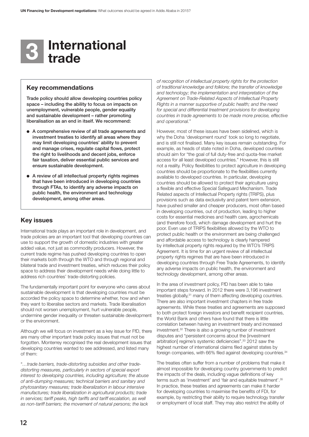### **International** 3 Interr<br>3 trade

#### Key recommendations

Trade policy should allow developing countries policy space – including the ability to focus on impacts on unemployment, vulnerable people, gender equality and sustainable development – rather promoting liberalisation as an end in itself. We recommend:

- A comprehensive review of all trade agreements and investment treaties to identify all areas where they may limit developing countries' ability to prevent and manage crises, regulate capital flows, protect the right to livelihoods and decent jobs, enforce fair taxation, deliver essential public services and ensure sustainable development.
- A review of all intellectual property rights regimes that have been introduced in developing countries through FTAs, to identify any adverse impacts on public health, the environment and technology development, among other areas.

#### Key issues

International trade plays an important role in development, and trade policies are an important tool that developing countries can use to support the growth of domestic industries with greater added value, not just as commodity producers. However, the current trade regime has pushed developing countries to open their markets both through the WTO and through regional and bilateral trade and investment treaties, which reduces their policy space to address their development needs while doing little to address rich countries' trade-distorting policies.

The fundamentally important point for everyone who cares about sustainable development is that developing countries must be accorded the policy space to determine whether, how and when they want to liberalise sectors and markets. Trade liberalisation should not worsen unemployment, hurt vulnerable people, undermine gender inequality or threaten sustainable development or the environment.

Although we will focus on investment as a key issue for FfD, there are many other important trade policy issues that must not be forgotten. Monterrey recognised the real development issues that developing countries wanted to see addressed, and listed many of them:

"*…trade barriers, trade-distorting subsidies and other tradedistorting measures, particularly in sectors of special export interest to developing countries, including agriculture; the abuse of anti-dumping measures; technical barriers and sanitary and phytosanitary measures; trade liberalization in labour intensive manufactures; trade liberalization in agricultural products; trade in services; tariff peaks, high tariffs and tariff escalation, as well as non-tariff barriers; the movement of natural persons; the lack* 

*of recognition of intellectual property rights for the protection of traditional knowledge and folklore; the transfer of knowledge and technology; the implementation and interpretation of the Agreement on Trade-Related Aspects of Intellectual Property Rights in a manner supportive of public health; and the need for special and differential treatment provisions for developing countries in trade agreements to be made more precise, effective and operational.*"

However, most of these issues have been sidelined, which is why the Doha 'development round' took so long to negotiate, and is still not finalised. Many key issues remain outstanding. For example, as heads of state noted in Doha, developed countries should aim for "the goal of full duty-free and quota-free market access for all least developed countries." However, this is still not a reality. Policy flexibilities to protect agriculture in developing countries should be proportionate to the flexibilities currently available to developed countries. In particular, developing countries should be allowed to protect their agriculture using a flexible and effective Special Safeguard Mechanism. Trade Related aspects of Intellectual Property rights (TRIPS), plus provisions such as data exclusivity and patent term extension, have pushed smaller and cheaper producers, most often based in developing countries, out of production, leading to higher costs for essential medicines and health care, agrochemicals (and therefore food), which damage development and hurt the poor. Even use of TRIPS flexibilities allowed by the WTO to protect public health or the environment are being challenged and affordable access to technology is clearly hampered by intellectual property rights required by the WTO's TRIPS Agreement. It is time for an urgent review of all intellectual property rights regimes that are have been introduced in developing countries through Free Trade Agreements, to identify any adverse impacts on public health, the environment and technology development, among other areas.

In the area of investment policy, FfD has been able to take important steps forward. In 2012 there were 3,196 investment treaties globally,<sup>31</sup> many of them affecting developing countries. There are also important investment chapters in free trade agreements. While these treaties and agreements are supposed to both protect foreign investors and benefit recipient countries, the World Bank and others have found that there is little correlation between having an investment treaty and increased investment.32 There is also a growing number of investment disputes and "persistent concerns about the [investment arbitration] regime's systemic deficiencies".<sup>33</sup> 2012 saw the highest number of international claims filed against states by foreign companies, with 66% filed against developing countries.<sup>34</sup>

The treaties often suffer from a number of problems that make it almost impossible for developing country governments to predict the impacts of the deals, including vague definitions of key terms such as 'investment' and 'fair and equitable treatment'.35 In practice, these treaties and agreements can make it harder for developing countries to maximise the benefits of FDI, for example, by restricting their ability to require technology transfer or employment of local staff. They may also restrict the ability of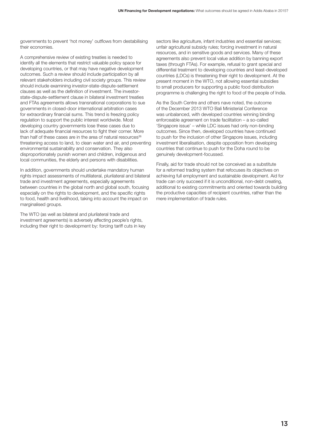governments to prevent 'hot money' outflows from destabilising their economies.

A comprehensive review of existing treaties is needed to identify all the elements that restrict valuable policy space for developing countries, or that may have negative development outcomes. Such a review should include participation by all relevant stakeholders including civil society groups. This review should include examining investor-state-dispute-settlement clauses as well as the definition of investment. The investorstate-dispute-settlement clause in bilateral investment treaties and FTAs agreements allows transnational corporations to sue governments in closed-door international arbitration cases for extraordinary financial sums. This trend is freezing policy regulation to support the public interest worldwide. Most developing country governments lose these cases due to lack of adequate financial resources to fight their corner. More than half of these cases are in the area of natural resources<sup>36</sup> threatening access to land, to clean water and air, and preventing environmental sustainability and conservation. They also disproportionately punish women and children, indigenous and local communities, the elderly and persons with disabilities.

In addition, governments should undertake mandatory human rights impact assessments of multilateral, plurilateral and bilateral trade and investment agreements, especially agreements between countries in the global north and global south, focusing especially on the rights to development, and the specific rights to food, health and livelihood, taking into account the impact on marginalised groups.

The WTO (as well as bilateral and plurilateral trade and investment agreements) is adversely affecting people's rights, including their right to development by: forcing tariff cuts in key sectors like agriculture, infant industries and essential services; unfair agricultural subsidy rules; forcing investment in natural resources, and in sensitive goods and services. Many of these agreements also prevent local value addition by banning export taxes (through FTAs). For example, refusal to grant special and differential treatment to developing countries and least-developed countries (LDCs) is threatening their right to development. At the present moment in the WTO, not allowing essential subsidies to small producers for supporting a public food distribution programme is challenging the right to food of the people of India.

As the South Centre and others nave noted, the outcome of the December 2013 WTO Bali Ministerial Conference was unbalanced, with developed countries winning binding enforceable agreement on trade facilitation – a so-called 'Singapore issue' – while LDC issues had only non-binding outcomes. Since then, developed countries have continued to push for the inclusion of other Singapore issues, including investment liberalisation, despite opposition from developing countries that continue to push for the Doha round to be genuinely development-focussed.

Finally, aid for trade should not be conceived as a substitute for a reformed trading system that refocuses its objectives on achieving full employment and sustainable development. Aid for trade can only succeed if it is unconditional, non-debt creating, additional to existing commitments and oriented towards building the productive capacities of recipient countries, rather than the mere implementation of trade rules.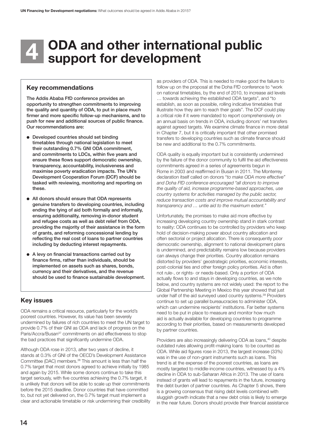### **1 ODA and other international public** 4 ODA and other internationally contained to the support for development

### Key recommendations

The Addis Ababa FfD conference provides an opportunity to strengthen commitments to improving the quality and quantity of ODA, to put in place much firmer and more specific follow-up mechanisms, and to push for new and additional sources of public finance. Our recommendations are:

- Developed countries should set binding timetables through national legislation to meet their outstanding 0.7% GNI ODA commitment, and commitments to LDCs, within five years and ensure these flows support democratic ownership, transparency, accountability, inclusiveness and maximise poverty eradication impacts. The UN's Development Cooperation Forum (DCF) should be tasked with reviewing, monitoring and reporting on these.
- ● All donors should ensure that ODA represents genuine transfers to developing countries, including ending the tying of aid both formally and informally, ensuring additionality, removing in-donor student and refugee costs as well as debt relief from ODA, providing the majority of their assistance in the form of grants, and reforming concessional lending by reflecting the real cost of loans to partner countries including by deducting interest repayments.
- A levy on financial transactions carried out by finance firms, rather than individuals, should be implemented on assets such as shares, bonds, currency and their derivatives, and the revenue should be used to finance sustainable development.

### Key issues

ODA remains a critical resource, particularly for the world's poorest countries. However, its value has been severely undermined by failures of rich countries to meet the UN target to provide 0.7% of their GNI as ODA and lack of progress on the Paris/Accra/Busan<sup>37</sup> commitments on aid effectiveness to stop the bad practices that significantly undermine ODA.

Although ODA rose in 2013, after two years of decline, it stands at 0.3% of GNI of the OECD's Development Assistance Committee (DAC) members.<sup>38</sup> This amount is less than half the 0.7% target that most donors agreed to achieve initially by 1985 and again by 2015. While some donors continue to take this target seriously, with five countries achieving the 0.7% target, it is unlikely that donors will be able to scale up their commitments before the 2015 deadline. Donor countries that have committed to, but not yet delivered on, the 0.7% target must implement a clear and actionable timetable or risk undermining their credibility as providers of ODA. This is needed to make good the failure to follow up on the proposal at the Doha FfD conference to "work on national timetables, by the end of 2010, to increase aid levels … towards achieving the established ODA targets", and "to establish, as soon as possible, rolling indicative timetables that illustrate how they aim to reach their goals". The DCF could play a critical role if it were mandated to report comprehensively on an annual basis on trends in ODA, including donors' net transfers against agreed targets. We examine climate finance in more detail in Chapter 7, but it is critically important that other promised transfers to developing countries such as climate finance should be new and additional to the 0.7% commitments.

ODA quality is equally important but is consistently undermined by the failure of the donor community to fulfil the aid effectiveness commitments agreed in a series of agreements begun in Rome in 2003 and reaffirmed in Busan in 2011. The Monterrey declaration itself called on donors "*to make ODA more effective" and Doha FfD conference encouraged "all donors to improve the quality of aid, increase programme-based approaches, use country systems for activities managed by the public sector, reduce transaction costs and improve mutual accountability and transparency and … untie aid to the maximum extent.*"

Unfortunately, the promises to make aid more effective by increasing developing country ownership stand in stark contrast to reality: ODA continues to be controlled by providers who keep hold of decision-making power about country allocation and often sectorial or project allocation. There is consequently poor democratic ownership, alignment to national development plans is undermined, and predictability remains low because providers can always change their priorities. Country allocation remains distorted by providers' geostrategic priorities, economic interests, post-colonial ties and other foreign policy priorities. Aid is often not rule-, or rights- or needs-based. Only a portion of ODA actually flows to and stays in developing countries, as we note below, and country systems are not widely used: the report to the Global Partnership Meeting in Mexico this year showed that just under half of the aid surveyed used country systems.<sup>39</sup> Providers continue to set up parallel bureaucracies to administer ODA, which can undermine recipients' institutions. Far better systems need to be put in place to measure and monitor how much aid is actually available for developing countries to programme according to their priorities, based on measurements developed by partner countries.

Providers are also increasingly delivering ODA as loans,<sup>40</sup> despite outdated rules allowing profit-making loans to be counted as ODA. While aid figures rose in 2013, the largest increase (33%) was in the use of non-grant instruments such as loans. This trend is at the expense of the poorest countries, as loans are mostly targeted to middle-income countries, witnessed by a 4% decline in ODA to sub-Saharan Africa in 2013. The use of loans instead of grants will lead to repayments in the future, increasing the debt burden of partner countries. As Chapter 5 shows, there is a growing consensus that rising debt levels combined with sluggish growth indicate that a new debt crisis is likely to emerge in the near future. Donors should provide their financial assistance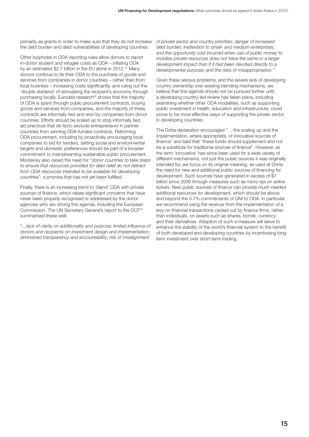primarily as grants in order to make sure that they do not increase the debt burden and debt vulnerabilities of developing countries.

Other loopholes in ODA reporting rules allow donors to report in-donor student and refugee costs as ODA – inflating ODA by an estimated \$2.7 billion in the EU alone in 2012.<sup>41</sup> Many donors continue to tie their ODA to the purchase of goods and services from companies in donor countries – rather than from local business – increasing costs significantly, and ruling out the 'double dividend' of stimulating the recipient's economy through purchasing locally. Eurodad research<sup>42</sup> shows that the majority of ODA is spent through public procurement contracts, buying goods and services from companies, and the majority of these contracts are informally tied and won by companies from donor countries. Efforts should be scaled up to stop informally tied aid practices that de facto exclude entrepreneurs in partner countries from winning ODA-funded contracts. Reforming ODA procurement, including by proactively encouraging local companies to bid for tenders, setting social and environmental targets and domestic preferences should be part of a broader commitment to mainstreaming sustainable public procurement. Monterrey also raised the need for "*donor countries to take steps to ensure that resources provided for debt relief do not detract from ODA resources intended to be available for developing countries*": a promise that has not yet been fulfilled.

Finally, there is an increasing trend to 'blend' ODA with private sources of finance, which raises significant concerns that have never been properly recognised or addressed by the donor agencies who are driving this agenda, including the European Commission. The UN Secretary General's report to the DCF43 summarised these well:

"*…lack of clarity on additionality and purpose; limited influence of donors and recipients on investment design and implementation; diminished transparency and accountability; risk of misalignment* 

*of private sector and country priorities; danger of increased debt burden; inattention to small- and medium-enterprises; and the opportunity cost incurred when use of public money to mobilize private resources does not have the same or a larger development impact than if it had been devoted directly to a developmental purpose; and the risks of misappropriation.*"

Given these serious problems, and the severe lack of developing country ownership over existing blending mechanisms, we believe that this agenda should not be pursued further until a developing country-led review has taken place, including examining whether other ODA modalities, such as supporting public investment in health, education and infrastructure, could prove to be more effective ways of supporting the private sector in developing countries.

The Doha declaration encouraged "… the scaling up and the implementation, where appropriate, of innovative sources of finance" and said that "these funds should supplement and not be a substitute for traditional sources of finance". However, as the term 'innovative' has since been used for a wide variety of different mechanisms, not just the public sources it was originally intended for, we focus on its original meaning, as used at Doha: the need for new and additional public sources of financing for development. Such sources have generated in excess of \$7 billion since 2006 through measures such as micro-tax on airline tickets. New public sources of finance can provide much needed additional resources for development, which should be above and beyond the 0.7% commitments of GNI to ODA. In particular, we recommend using the revenue from the implementation of a levy on financial transactions carried out by finance firms, rather than individuals, on assets such as shares, bonds, currency and their derivatives. Adoption of such a measure will serve to enhance the stability of the world's financial system to the benefit of both developed and developing countries by incentivising longterm investment over short-term trading.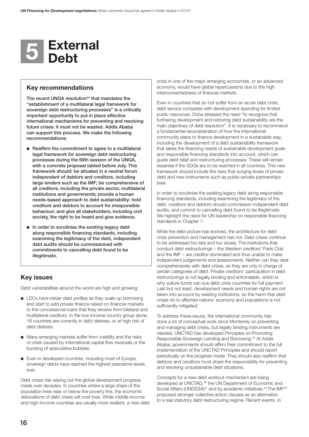### **External** 5 Exter<br>Debt

### Key recommendations

The recent UNGA resolution<sup>44</sup> that mandates the "establishment of a multilateral legal framework for sovereign debt restructuring processes" is a critically important opportunity to put in place effective international mechanisms for preventing and resolving future crises: it must not be wasted. Addis Ababa can support this process. We make the following recommendations:

- Reaffirm the commitment to agree to a multilateral legal framework for sovereign debt restructuring processes during the 69th session of the UNGA, with a concrete proposal tabled before July. This framework should: be situated in a neutral forum independent of debtors and creditors, including large lenders such as the IMF; be comprehensive of all creditors, including the private sector, multilateral institutions and governments; provide a human needs-based approach to debt sustainability: hold creditors and debtors to account for irresponsible behaviour; and give all stakeholders, including civil society, the right to be heard and give evidence.
- $\bullet$  In order to scrutinise the existing legacy debt along responsible financing standards, including examining the legitimacy of the debt, independent debt audits should be commissioned with commitments to cancelling debt found to be illegitimate.

### Key issues

Debt vulnerabilities around the world are high and growing:

- LDCs have riskier debt profiles as they scale up borrowing and start to add private finance raised on financial markets to the concessional loans that they receive from bilateral and multilateral creditors. In the low-income country group alone, 16 countries are currently in debt distress, or at high risk of debt distress.
- Many emerging markets suffer from volatility and the risks of crisis caused by international capital flow reversals or the bursting of speculative bubbles.
- Even in developed countries, including most of Europe, sovereign debts have reached the highest peacetime levels ever.

Debt crises risk wiping out the global development progress made over decades. In countries where a large share of the population lives near or below the poverty line, the economic dislocations of debt crises will cost lives. While middle-income and high-income countries are usually more resilient, a new debt crisis in one of the major emerging economies, or an advanced economy, would have global repercussions due to the high interconnectedness of financial markets.

Even in countries that do not suffer from an acute debt crisis, debt service competes with development spending for limited public resources. Doha stressed the need "to recognize that furthering development and restoring debt sustainability are the main objectives of debt resolution". It is necessary to recommend a fundamental reconsideration of how the international community plans to finance development in a sustainable way, including the development of a debt sustainability framework that takes the financing needs of sustainable development goals and responsible financing standards into account, which can guide debt relief and restructuring processes. These will remain essential if the SDGs are to be reached in all countries. This new framework should include the risks that surging levels of private debt and new instruments such as public-private partnerships bear.

In order to scrutinise the existing legacy debt along responsible financing standards, including examining the legitimacy of the debt, creditors and debtors should commission independent debt audits, and commit to cancelling debt found to be illegitimate. We highlight the need for UN leadership on responsible financing standards in Chapter 7.

While the debt picture has evolved, the architecture for debt crisis prevention and management has not. Debt crises continue to be addressed too late and too slowly. The institutions that conduct debt restructurings – the Western creditors' Paris Club and the IMF – are creditor-dominated and thus unable to make independent judgements and assessments. Neither can they deal comprehensively with debt crises, as they are only in charge of certain categories of debt. Private creditors' participation in debt restructurings is not legally binding and enforceable, which is why vulture funds can sue debt crisis countries for full payment. Last but not least, development needs and human rights are not taken into account by existing institutions, so the harm that debt crises do to affected nations' economy and populations is not sufficiently mitigated.

To address these issues, the international community has done a lot of conceptual work since Monterrey on preventing and managing debt crises, but legally binding instruments are needed. UNCTAD has developed Principles on Promoting Responsible Sovereign Lending and Borrowing.45 At Addis Ababa, governments should affirm their commitment to the full implementation of the UNCTAD Principles and should report periodically on the progress made. They should also reaffirm that debtors and creditors must share the responsibility for preventing and resolving unsustainable debt situations.

Concepts for a new debt workout mechanism are being developed at UNCTAD,<sup>46</sup> the UN Department of Economic and Social Affairs (UNDESA)<sup>47</sup> and by academic initiatives.<sup>48</sup> The IMF<sup>49</sup> proposed stronger collective action clauses as an alternative to a real statutory debt restructuring regime. Recent events, in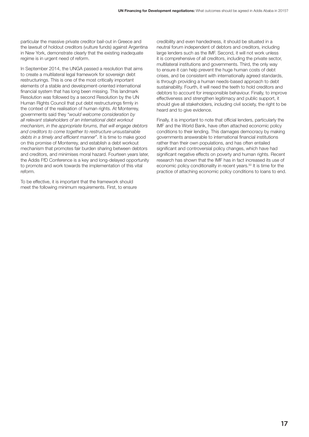particular the massive private creditor bail-out in Greece and the lawsuit of holdout creditors (vulture funds) against Argentina in New York, demonstrate clearly that the existing inadequate regime is in urgent need of reform.

In September 2014, the UNGA passed a resolution that aims to create a multilateral legal framework for sovereign debt restructurings. This is one of the most critically important elements of a stable and development-oriented international financial system that has long been missing. This landmark Resolution was followed by a second Resolution by the UN Human Rights Council that put debt restructurings firmly in the context of the realisation of human rights. At Monterrey, governments said they "*would welcome consideration by all relevant stakeholders of an international debt workout mechanism, in the appropriate forums, that will engage debtors and creditors to come together to restructure unsustainable debts in a timely and efficient manner*". It is time to make good on this promise of Monterrey, and establish a debt workout mechanism that promotes fair burden sharing between debtors and creditors, and minimises moral hazard. Fourteen years later, the Addis FfD Conference is a key and long-delayed opportunity to promote and work towards the implementation of this vital reform.

To be effective, it is important that the framework should meet the following minimum requirements. First, to ensure credibility and even handedness, it should be situated in a neutral forum independent of debtors and creditors, including large lenders such as the IMF. Second, it will not work unless it is comprehensive of all creditors, including the private sector, multilateral institutions and governments. Third, the only way to ensure it can help prevent the huge human costs of debt crises, and be consistent with internationally agreed standards, is through providing a human needs-based approach to debt sustainability. Fourth, it will need the teeth to hold creditors and debtors to account for irresponsible behaviour. Finally, to improve effectiveness and strengthen legitimacy and public support, it should give all stakeholders, including civil society, the right to be heard and to give evidence.

Finally, it is important to note that official lenders, particularly the IMF and the World Bank, have often attached economic policy conditions to their lending. This damages democracy by making governments answerable to international financial institutions rather than their own populations, and has often entailed significant and controversial policy changes, which have had significant negative effects on poverty and human rights. Recent research has shown that the IMF has in fact increased its use of economic policy conditionality in recent years.<sup>50</sup> It is time for the practice of attaching economic policy conditions to loans to end.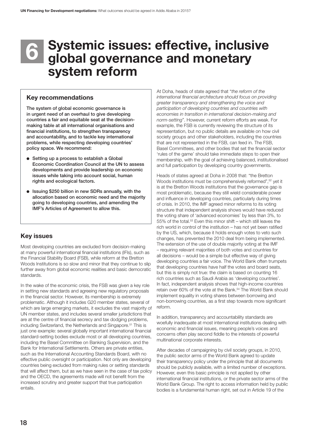### 1 Systemic issues: effective, inclusive **6** Systemic issues: effective, inclusi<br> **6** global governance and monetary system reform

### Key recommendations

The system of global economic governance is in urgent need of an overhaul to give developing countries a fair and equitable seat at the decisionmaking table at all international organisations and financial institutions, to strengthen transparency and accountability, and to tackle key international problems, while respecting developing countries' policy space. We recommend:

- Setting up a process to establish a Global Economic Coordination Council at the UN to assess developments and provide leadership on economic issues while taking into account social, human rights and ecological factors.
- ● Issuing \$250 billion in new SDRs annually, with the allocation based on economic need and the majority going to developing countries, and amending the IMF's Articles of Agreement to allow this.

### Key issues

Most developing countries are excluded from decision-making at many powerful international financial institutions (IFIs), such as the Financial Stability Board (FSB), while reform at the Bretton Woods Institutions is so slow and minor that they continue to slip further away from global economic realities and basic democratic standards.

In the wake of the economic crisis, the FSB was given a key role in setting new standards and agreeing new regulatory proposals in the financial sector. However, its membership is extremely problematic. Although it includes G20 member states, several of which are large emerging markets, it excludes the vast majority of UN member states, and includes several smaller jurisdictions that are at the centre of financial secrecy and tax dodging problems, including Switzerland, the Netherlands and Singapore.<sup>51</sup> This is just one example: several globally important international financial standard-setting bodies exclude most or all developing countries, including the Basel Committee on Banking Supervision, and the Bank for International Settlements. Others are private entities, such as the International Accounting Standards Board, with no effective public oversight or participation. Not only are developing countries being excluded from making rules or setting standards that will affect them, but as we have seen in the case of tax policy and the OECD, the agreements made will not benefit from the increased scrutiny and greater support that true participation entails.

At Doha, heads of state agreed that "*the reform of the international financial architecture should focus on providing greater transparency and strengthening the voice and participation of developing countries and countries with economies in transition in international decision-making and norm-setting*". However, current reform efforts are weak. For example, the FSB is currently reviewing the structure of its representation, but no public details are available on how civil society groups and other stakeholders, including the countries that are not represented in the FSB, can feed in. The FSB, Basel Committees, and other bodies that set the financial sector 'rules of the game' should take immediate steps to open their membership, with the goal of achieving balanced, institutionalised and full participation by developing country governments.

Heads of states agreed at Doha in 2008 that: "the Bretton Woods institutions must be comprehensively reformed",<sup>52</sup> yet it is at the Bretton Woods institutions that the governance gap is most problematic, because they still wield considerable power and influence in developing countries, particularly during times of crisis. In 2010, the IMF agreed minor reforms to its voting structure that independent analysis shows would have reduced the voting share of 'advanced economies' by less than 3%, to 55% of the total.53 Even this minor shift – which still leaves the rich world in control of the institution – has not yet been ratified by the US, which, because it holds enough votes to veto such changes, has prevented the 2010 deal from being implemented. The extension of the use of double majority voting at the IMF – requiring relevant majorities of both votes and countries for all decisions – would be a simple but effective way of giving developing countries a fair voice. The World Bank often trumpets that developing countries have half the votes and board seats, but this is simply not true: the claim is based on counting 16 rich countries such as Saudi Arabia as 'developing countries'. In fact, independent analysis shows that high-income countries retain over 60% of the vote at the Bank.<sup>54</sup> The World Bank should implement equality in voting shares between borrowing and non-borrowing countries, as a first step towards more significant reform.

In addition, transparency and accountability standards are woefully inadequate at most international institutions dealing with economic and financial issues, meaning people's voices and concerns often play second fiddle to the interests of powerful multinational corporate interests.

After decades of campaigning by civil society groups, in 2010, the public sector arms of the World Bank agreed to update their transparency policy under the principle that all documents should be publicly available, with a limited number of exceptions. However, even this basic principle is not applied by other international financial institutions, or the private sector arms of the World Bank Group. The right to access information held by public bodies is a fundamental human right, set out in Article 19 of the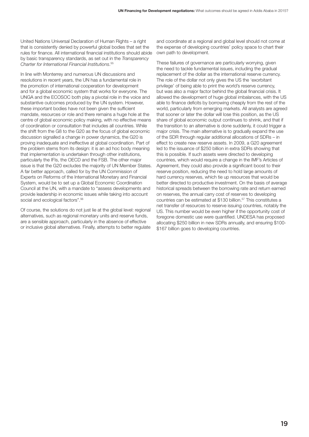United Nations Universal Declaration of Human Rights – a right that is consistently denied by powerful global bodies that set the rules for finance. All international financial institutions should abide by basic transparency standards, as set out in the *Transparency Charter for International Financial Institutions*. 55

In line with Monterrey and numerous UN discussions and resolutions in recent years, the UN has a fundamental role in the promotion of international cooperation for development and for a global economic system that works for everyone. The UNGA and the ECOSOC both play a pivotal role in the voice and substantive outcomes produced by the UN system. However, these important bodies have not been given the sufficient mandate, resources or role and there remains a huge hole at the centre of global economic policy making, with no effective means of coordination or consultation that includes all countries. While the shift from the G8 to the G20 as the focus of global economic discussion signalled a change in power dynamics, the G20 is proving inadequate and ineffective at global coordination. Part of the problem stems from its design: it is an ad hoc body meaning that implementation is undertaken through other institutions, particularly the IFIs, the OECD and the FSB. The other major issue is that the G20 excludes the majority of UN Member States. A far better approach, called for by the UN Commission of Experts on Reforms of the International Monetary and Financial System, would be to set up a Global Economic Coordination Council at the UN, with a mandate to "assess developments and provide leadership in economic issues while taking into account social and ecological factors".<sup>56</sup>

Of course, the solutions do not just lie at the global level: regional alternatives, such as regional monetary units and reserve funds, are a sensible approach, particularly in the absence of effective or inclusive global alternatives. Finally, attempts to better regulate

and coordinate at a regional and global level should not come at the expense of developing countries' policy space to chart their own path to development.

These failures of governance are particularly worrying, given the need to tackle fundamental issues, including the gradual replacement of the dollar as the international reserve currency. The role of the dollar not only gives the US the 'exorbitant privilege' of being able to print the world's reserve currency, but was also a major factor behind the global financial crisis. It allowed the development of huge global imbalances, with the US able to finance deficits by borrowing cheaply from the rest of the world, particularly from emerging markets. All analysts are agreed that sooner or later the dollar will lose this position, as the US share of global economic output continues to shrink, and that if the transition to an alternative is done suddenly, it could trigger a major crisis. The main alternative is to gradually expand the use of the SDR through regular additional allocations of SDRs – in effect to create new reserve assets. In 2009, a G20 agreement led to the issuance of \$250 billion in extra SDRs showing that this is possible. If such assets were directed to developing countries, which would require a change in the IMF's Articles of Agreement, they could also provide a significant boost to their reserve position, reducing the need to hold large amounts of hard currency reserves, which tie up resources that would be better directed to productive investment. On the basis of average historical spreads between the borrowing rate and return earned on reserves, the annual carry cost of reserves to developing countries can be estimated at \$130 billion.<sup>57</sup> This constitutes a net transfer of resources to reserve issuing countries, notably the US. This number would be even higher if the opportunity cost of foregone domestic use were quantified. UNDESA has proposed allocating \$250 billion in new SDRs annually, and ensuring \$100- \$167 billion goes to developing countries.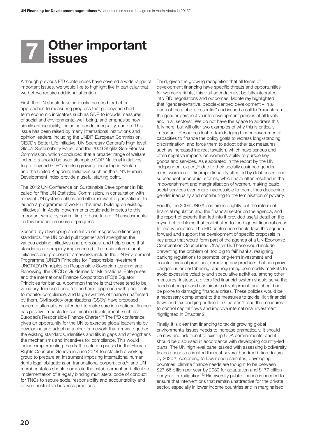# **1 Other important**<br> **1 issues**

Although previous FfD conferences have covered a wide range of important issues, we would like to highlight five in particular that we believe require additional attention.

First, the UN should take seriously the need for better approaches to measuring progress that go beyond shortterm economic indicators such as GDP to include measures of social and environmental well-being, and emphasise how significant inequality, including gender inequality, can be. This issue has been raised by many international institutions and opinion leaders, including the UNDP, European Commission, OECD's Better Life Initiative; UN Secretary General's High-level Global Sustainability Panel, and the 2009 Stiglitz-Sen-Fitoussi Commission, which concluded that a broader range of welfare indicators should be used alongside GDP. National initiatives to go 'beyond GDP' are also growing, including in Bhutan and the United Kingdom. Initiatives such as the UN's Human Development Index provide a useful starting point.

The 2012 UN Conference on Sustainable Development in Rio called for "the UN Statistical Commission, in consultation with relevant UN system entities and other relevant organizations, to launch a programme of work in this area, building on existing initiatives". In Addis, governments could add impetus to this important work, by committing to base future UN assessments on this broader measure of progress.

Second, by developing an initiative on responsible financing standards, the UN could pull together and strengthen the various existing initiatives and proposals, and help ensure that standards are properly implemented. The main international initiatives and proposed frameworks include the UN Environment Programme (UNEP) Principles for Responsible Investment, UNCTAD's Principles on Responsible Sovereign Lending and Borrowing, the OECD's Guidelines for Multinational Enterprises and the International Finance Corporation (IFC)'s Equator Principles for banks. A common theme is that these tend to be voluntary, focussed on a 'do no harm' approach with poor tools to monitor compliance, and large swathes of finance unaffected by them. Civil society organisations (CSOs) have proposed concrete alternatives, intended to make sure international finance has positive impacts for sustainable development, such as Eurodad's Responsible Finance Charter.58 The FfD conference gives an opportunity for the UN to exercise global leadership by developing and adopting a clear framework that draws together the existing standards, identifies and fills in gaps and strengthens the mechanisms and incentives for compliance. This would include implementing the draft resolution passed in the Human Rights Council in Geneva in June 2014 to establish a working group to prepare an instrument imposing international human rights legal obligations on transnational corporations,<sup>59</sup> and UN member states should complete the establishment and effective implementation of a legally binding multilateral code of conduct for TNCs to secure social responsibility and accountability and prevent restrictive business practices.

Third, given the growing recognition that all forms of development financing have specific threats and opportunities for women's rights, this vital agenda must be fully integrated into FfD negotiations and outcomes. Monterrey highlighted that "gender-sensitive, people-centred development – in all parts of the globe is essential" and issued a call to "mainstream the gender perspective into development policies at all levels and in all sectors". We do not have the space to address this fully here, but will offer two examples of why this is critically important. Resources lost to tax dodging hinder governments' capacities to finance the policy goals to redress long-standing discrimination, and force them to adopt other tax measures such as increased indirect taxation, which have serious and often negative impacts on women's ability to pursue key goods and services. As elaborated in the report by the UN independent expert,<sup>60</sup> due to their socially assigned gender roles, women are disproportionately affected by debt crises, and subsequent economic reforms, which have often resulted in the impoverishment and marginalisation of women, making basic social services even more inaccessible to them, thus deepening gender inequality and contributing to the feminisation of poverty.

Fourth, the 2009 UNGA conference rightly put the reform of financial regulation and the financial sector on the agenda, and the report of experts that fed into it provided useful detail on the myriad of problems that contributed to the biggest financial crash for many decades. The FfD conference should take this agenda forward and support the development of specific proposals in key areas that would form part of the agenda of a UN Economic Coordination Council (see Chapter 6). These would include preventing the problem of 'too big to fail' banks, realigning banking regulations to promote long-term investment and counter-cyclical practices, removing any products that can prove dangerous or destabilising, and regulating commodity markets to avoid excessive volatility and speculative activities, among other measures. Instead, a diversified financial system should serve the needs of people and sustainable development, and should not be prone to damaging financial crises. These policies would be a necessary complement to the measures to tackle illicit financial flows and tax dodging outlined in Chapter 1, and the measures to control capital flows and improve international investment highlighted in Chapter 2.

Finally, it is clear that financing to tackle growing global environmental issues needs to increase dramatically. It should be new and additional to existing ODA commitments, and it should be disbursed in accordance with developing country-led plans. The UN high level panel tasked with assessing biodiversity finance needs estimated them at several hundred billion dollars by 2020.<sup>61</sup> According to lower end estimates, developing countries' climate finance needs are thought to be between \$27-66 billion per year by 2030 for adaptation and \$177 billion per year for mitigation.<sup>62</sup> Biodiversity public finance is needed to ensure that interventions that remain unattractive for the private sector, especially in lower income countries and in marginalised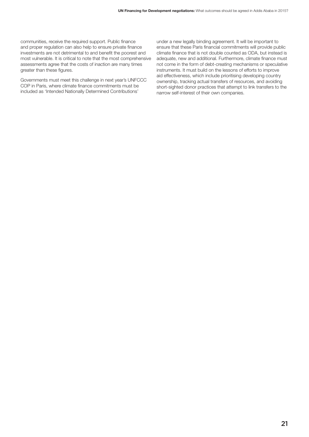communities, receive the required support. Public finance and proper regulation can also help to ensure private finance investments are not detrimental to and benefit the poorest and most vulnerable. It is critical to note that the most comprehensive assessments agree that the costs of inaction are many times greater than these figures.

Governments must meet this challenge in next year's UNFCCC COP in Paris, where climate finance commitments must be included as 'Intended Nationally Determined Contributions'

under a new legally binding agreement. It will be important to ensure that these Paris financial commitments will provide public climate finance that is not double counted as ODA, but instead is adequate, new and additional. Furthermore, climate finance must not come in the form of debt-creating mechanisms or speculative instruments. It must build on the lessons of efforts to improve aid effectiveness, which include prioritising developing country ownership, tracking actual transfers of resources, and avoiding short-sighted donor practices that attempt to link transfers to the narrow self-interest of their own companies.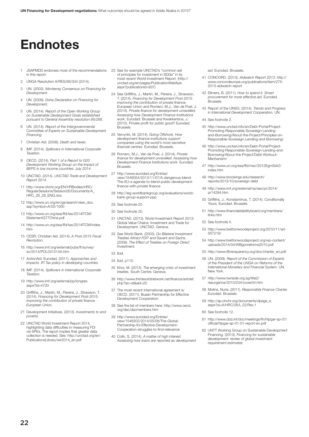### **Endnotes**

- 1 JSAPMDD endorses most of the recommendations in this report.
- 2 UNGA Resolution A/RES/68/304 (2014).
- 3 UN. (2003). *Monterrey Consensus on Financing for Development.*
- 4 UN. (2009). *Doha Declaration on Financing for Development.*
- 5 UN. (2014). *Report of the Open Working Group on Sustainable Development Goals established pursuant to General Assembly resolution 66/288.*
- 6 UN. (2014). *Report of the Intergovernmental Committee of Experts on Sustainable Development Financing.*
- 7 Christian Aid. (2008). *Death and taxes*.
- 8 IMF. (2014). *Spillovers in International Corporate Taxation*.
- 9 OECD. (2014). *Part 1 of a Report to G20 Development Working Group on the Impact of BEPS in low income countries. July 2014*.
- 10 UNCTAD. (2014). *UNCTAD Trade and Development Report 2014*.
- 11 http://www.ohchr.org/EN/HRBodies/HRC/ RegularSessions/Session26/Documents/A\_ HRC\_26\_28\_ENG.doc
- 12 http://www.un.org/en/ga/search/view\_doc. asp?symbol=A/55/1000
- 13 http://www.un.org/esa/ffd/tax/2014ITCM/ StatementG77China.pdf
- 14 http://www.un.org/esa/ffd/tax/2014ITCM/index. htm
- 15 CESR; Christian Aid. (2014). *A Post-2015 Fiscal Revolution*.
- 16 http://www.imf.org/external/pubs/ft/survey/ so/2014/POL031314A.htm
- 17 ActionAid; Eurodad. (2011). *Approaches and Impacts. IFI Tax policy in developing countries.*
- 18 IMF. (2014). *Spillovers in International Corporate Taxation.*
- 19 http://www.imf.org/external/pp/longres. aspx?id=4720
- 20 Griffiths, J., Martin, M., Pereira, J., Strawson, T. (2014). *Financing for Development Post-2015: improving the contribution of private finance. European Union.*
- 21 Development Initiatives. (2013). *Investments to end poverty.*
- 22 UNCTAD World Investment Report 2014, highlighting data difficulties in measuring FDI via SPEs. The report implies that greater data collection is needed. See: http://unctad.org/en/ PublicationsLibrary/wir2014\_en.pdf
- 23 See for example UNCTAD's "common set of principles for investment in SDGs" in its most recent World Investment Report. (http:// unctad.org/en/pages/PublicationWebflyer. aspx?publicationid=937)
- 24 See Griffiths, J., Martin, M., Pereira, J., Strawson, T. (2014). *Financing for Development Post-2015: improving the contribution of private finance.* European Union and Romero, M.J., Van de Poel, J. (2014). *Private finance for development unravelled. Assessing how Development Finance Institutions work.* Eurodad. Brussels and Kwakkenbos, J. (2012). Private profit for public good? Eurodad. Brussels.
- 25 Vervynkt, M. (2014). *Going Offshore. How development finance institutions support companies using the world's most secretive financial centres.* Eurodad. Brussels.
- 26 Romero, M.J., Van de Poel, J. (2014). *Private finance for development unravelled. Assessing how Development Finance Institutions work.* Eurodad. Brussels.
- 27 http://www.eurodad.org/Entries/ view/1546054/2013/11/07/A-dangerous-blend-The-EU-s-agenda-to-blend-public-developmentfinance-with-private-finance
- 28 http://ieg.worldbankgroup.org/evaluations/worldbank-group-support-ppp
- 29 See footnote 20
- 30 See footnote 20.
- 31 UNCTAD. (2013). World Investment Report 2013: Global Value Chains: Investment and Trade for Development. UNCTAD. Geneva.
- 32 See World Bank. (2003). *Do Bilateral Investment Treaties Attract FDI?* and Savant and Sachs. (2009). *The Effect of Treaties on Foreign Direct Investment.*
- 33 Ibid.
- 34 Ibid, p110.
- 35 Khor, M. (2013). *The emerging crisis of investment treaties.* South Centre. Geneva.
- 36 http://www.thirdworldnetwork.net/finance/articlef. php?ac=st&aid=25
- 37 The most recent international agreement is: OECD. (2011). Busan Partnership for Effective Development Cooperation.
- 38 See the list of members here: http://www.oecd. org/dac/dacmembers.htm
- 39 http://www.eurodad.org/Entries/ view/1546202/2014/05/08/The-Global-Partnership-for-Effective-Development-Cooperation-struggles-to-find-relevance
- 40 Colin, S. (2014). *A matter of high interest. Assessing how loans are reported as development*

*aid.* Eurodad. Brussels.

- 41 CONCORD. (2013). *Aidwatch Report 2013*. http:// www.concordeurope.org/publications/item/275-2013-aidwatch-report
- 42 Ellmers, B. (2011). *How to spend it. Smart procurement for more effective aid.* Eurodad. Brussels.
- 43 Report of the UNSG. (2014). *Trends and Progress in International Development Cooperation.* UN.
- 44 See footnote 2.
- 45 http://www.unctad.info/en/Debt-Portal/Project-Promoting-Responsible-Sovereign-Lendingand-Borrowing/About-the-Project/Principles-on-Responsible-Sovereign-Lending-and-Borrowing/
- 46 http://www.unctad.info/en/Debt-Portal/Project-Promoting-Responsible-Sovereign-Lending-and-Borrowing/About-the-Project/Debt-Workout-Mechanism/
- 47 http://www.un.org/esa/ffd/msc/2012EgmSdr2/ index.htm
- 48 http://www.brookings.edu/research/ reports/2013/10/sovereign-debt
- 49 http://www.imf.org/external/np/sec/pr/2014/  $nr14294$ .htm
- 50 Griffiths, J., Konstantinos, T. (2014). Conditionally Yours. Eurodad. Brussels.
- 51 http://www.financialstabilityboard.org/members/ links.htm
- 52 See footnote 4.
- 53 http://www.brettonwoodsproject.org/2010/11/art-567219/
- 54 http://www.brettonwoodsproject.org/wp-content/ uploads/2014/04/WBgovreforms2010.pdf
- 55 http://www.ifitransparency.org/doc/charter\_en.pdf
- 56 UN. (2009). *Report of the Commission of Experts of the President of the UNGA on Reforms of the International Monetary and Financial System*. UN. New York.
- 57 http://www.twnside.org.sg/title2/ resurgence/2010/234/cover04.htm
- 58 Molina, Nuria. (2011). *Responsible Finance Charter. Eurodad*. Brussels.
- 59 http://ap.ohchr.org/documents/dpage\_e. aspx?si=A/HRC/26/L.22/Rev.1
- 60 See footnote 12.
- 61 http://www.cbd.int/doc/meetings/fin/hlpgar-sp-01/ official/hlpgar-sp-01-01-report-en.pdf
- 62 UNTT Working Group on Sustainable Development Financing. (2013). *Financing for sustainable development: review of global investment requirement estimates.*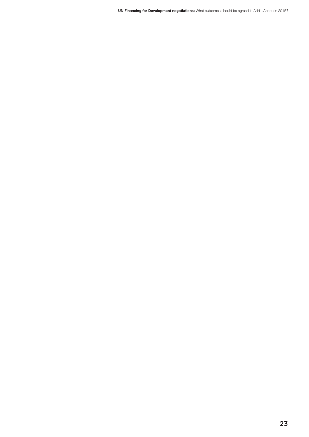UN Financing for Development negotiations: What outcomes should be agreed in Addis Ababa in 2015?